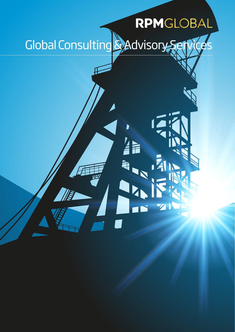# RPMGLOBAL Global Consulting & Advisory Services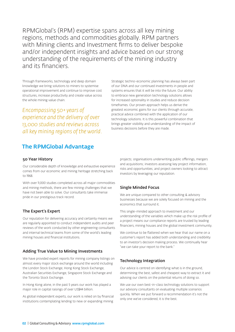RPMGlobal's (RPM) expertise spans across all key mining regions, methods and commodities globally. RPM partners with Mining clients and Investment firms to deliver bespoke and/or independent insights and advice based on our strong understanding of the requirements of the mining industry and its financiers.

Through frameworks, technology and deep domain knowledge we bring solutions to miners to systemise operational improvement and continue to improve cost structures, increase productivity and create value across the whole mining value chain.

*Encompassing 50+ years of experience and the delivery of over 13,000 studies and reviews across all key mining regions of the world.*  Strategic techno-economic planning has always been part of our DNA and our continued investments in people and systems ensures that it will be into the future. Our ability to embrace new generation technology solutions allows for increased optionality in studies and reduce decision timeframes. Our proven approach helps us derive the greatest economic gains for our clients through accurate, practical advice combined with the application of our technology solutions. It is this powerful combination that brings greater visibility and understanding of the impact of business decisions before they are made.

# The RPMGlobal Advantage

### 50 Year History

Our considerable depth of knowledge and exhaustive experience comes from our economic and mining heritage stretching back to 1968.

With over 11,000 studies completed across all major commodities and mining methods, there are few mining challenges that we have not been able to solve. Our consultants take immense pride in our prestigious track record.

### The Expert's Expert

Our reputation for delivering accuracy and certainty means we are regularly appointed to conduct independent audits and peer reviews of the work conducted by other engineering consultants and internal technical teams from some of the world's leading mining houses and financial institutions.

### Adding True Value to Mining Investments

We have provided expert reports for mining company listings on almost every major stock exchange around the world including the London Stock Exchange, Hong Kong Stock Exchange, Australian Securities Exchange, Singapore Stock Exchange and the Toronto Stock Exchange.

In Hong Kong alone, in the past 5 years our work has played a major role in capital raisings of over US\$44 billion.

As global independent experts, our work is relied on by financial institutions contemplating lending to new or expanding mining

projects; organisations underwriting public offerings, mergers and acquisitions; investors assessing key project information, risks and opportunities; and project owners looking to attract investors by leveraging our reputation.

### Single Minded Focus

We are unique compared to other consulting & advisory businesses because we are solely focused on mining and the economics that surround it.

This single-minded approach to investment and our understanding of the variables which make up the risk profile of a project means our compliance reports are trusted by leading financiers, mining houses and the global investment community.

We continue to be flattered when we hear that our name on a customer's report has added both understanding and credibility to an investor's decision making process. We continually hear "we can take your report to the bank."

### Technology Integration

Our advice is centred on identifying what is in the ground, determining the best, safest and cheapest way to extract it and advising our clients on the potential returns of doing so.

We use our own best-in-class technology solutions to support our advisory consultants on evaluating multiple scenarios quickly. When we put forward a recommendation it's not the only one we've considered, it is the best.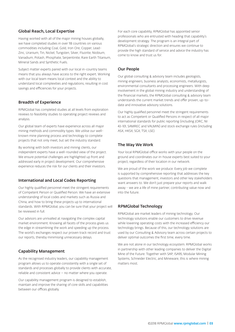## Global Reach, Local Expertise

Having worked with all of the major mining houses globally, we have completed studies in over 118 countries on various commodities including Coal, Gold, Iron Ore, Copper, Lead-Zinc, Uranium, Tin, Nickel, Tungsten, Silver, Fluorite, Niobium, Vanadium, Potash, Phosphate, Serpentinite, Rare Earth Titanium, Mineral Sands and Synthetic Fuels.

Subject matter experts paired with our local in-country teams means that you always have access to the right expert. Working with our local team means local context and the ability to understand local complexities and regulations, resulting in cost savings and efficiencies for your projects.

### Breadth of Experience

RPMGlobal has completed studies at all levels from exploration reviews to feasibility studies to operating project reviews and analysis.

Our global team of experts have experience across all major mining methods and commodity types. We utilise our wellknown mine planning process and technology to complete projects that not only meet, but set the industry standard.

By working with both investors and mining clients, our independent experts have a well-rounded view of the project. We ensure potential challenges are highlighted up front and addressed early in project development. Our comprehensive experience reduces the risk for our clients and their investors.

### International and Local Codes Reporting

Our highly qualified personnel meet the stringent requirements of Competent Person or Qualified Person. We have an extensive understanding of local codes and markets such as Russia and China, and how to bring these projects up to international standards. With RPMGlobal, you can be sure that your project will be reviewed in full.

Our advisors are unrivalled at navigating the complex capital market environment. Knowing all facets of the process gives us the edge in streamlining the work and speeding up the process. The world's exchanges respect our proven track record and trust our reports, thereby minimising unnecessary delays.

# Capability Management

As the recognised industry leaders, our capability management program allows us to operate consistently with a single set of standards and processes globally to provide clients with accurate, reliable and consistent advice – no matter where you operate.

Our capability management program is designed to establish, maintain and improve the sharing of core skills and capabilities between our offices globally.

For each core capability, RPMGlobal has appointed senior professionals who are entrusted with heading that capability's development strategy. The program is an integral part of RPMGlobal's strategic direction and ensures we continue to provide the high standard of service and advice the industry has come to know and trust us for.

### Our People

Our global consulting & advisory team includes geologists, mining engineers, business analysts, economists, metallurgists, environmental consultants and processing engineers. With deep involvement in the global mining industry and understanding of the financial markets, the RPMGlobal consulting & advisory team understands the current market trends and offer proven, up-todate and innovative advisory solutions.

Our highly qualified personnel meet the stringent requirements to act as Competent or Qualified Persons in respect of all major international standards for public reporting (including JORC, NI 43-101, SAMREC and VALMIN) and stock exchange rules (including ASX, HKSX, SGX, TSX, LSE).

# The Way We Work

Your local RPMGlobal office works with your people on the ground and coordinates our in-house experts best suited to your project, regardless of their location in our network.

We are proud of the work we produce. Every job we complete is supported by comprehensive reporting that addresses the key questions that management, investors and other key stakeholders want answers to. We don't just prepare your reports and walk away - we are a life of mine partner, contributing value now and into the future.

# RPMGlobal Technology

RPMGlobal are market leaders of mining technology. Our technology solutions enable our customers to drive revenue while lowering operating costs with the increased efficiency our technology brings. Because of this, our technology solutions are used by our Consulting & Advisory team across certain projects to deliver optimal outcomes the first time, every time.

We are not alone in our technology ecosystem. RPMGlobal works in partnership with other leading companies to deliver the Digital Mine of the Future. Together with SAP, ISA95, Modular Mining Systems, Schneider Electric, and Mineware, this is where mining matters most.